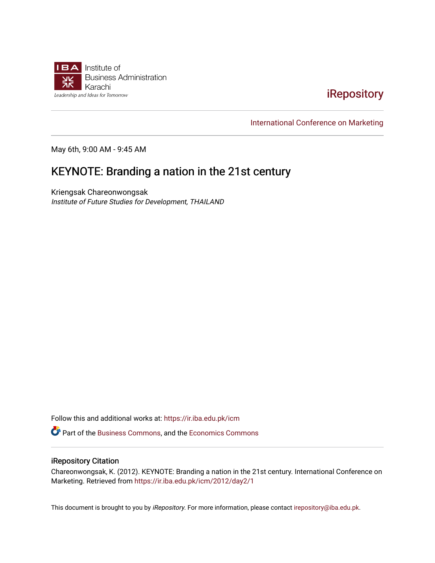

## [iRepository](https://ir.iba.edu.pk/)

[International Conference on Marketing](https://ir.iba.edu.pk/icm) 

May 6th, 9:00 AM - 9:45 AM

# KEYNOTE: Branding a nation in the 21st century

Kriengsak Chareonwongsak Institute of Future Studies for Development, THAILAND

Follow this and additional works at: [https://ir.iba.edu.pk/icm](https://ir.iba.edu.pk/icm?utm_source=ir.iba.edu.pk%2Ficm%2F2012%2Fday2%2F1&utm_medium=PDF&utm_campaign=PDFCoverPages) 

Part of the [Business Commons](http://network.bepress.com/hgg/discipline/622?utm_source=ir.iba.edu.pk%2Ficm%2F2012%2Fday2%2F1&utm_medium=PDF&utm_campaign=PDFCoverPages), and the [Economics Commons](http://network.bepress.com/hgg/discipline/340?utm_source=ir.iba.edu.pk%2Ficm%2F2012%2Fday2%2F1&utm_medium=PDF&utm_campaign=PDFCoverPages)

### iRepository Citation

Chareonwongsak, K. (2012). KEYNOTE: Branding a nation in the 21st century. International Conference on Marketing. Retrieved from [https://ir.iba.edu.pk/icm/2012/day2/1](https://ir.iba.edu.pk/icm/2012/day2/1?utm_source=ir.iba.edu.pk%2Ficm%2F2012%2Fday2%2F1&utm_medium=PDF&utm_campaign=PDFCoverPages) 

This document is brought to you by iRepository. For more information, please contact [irepository@iba.edu.pk](mailto:irepository@iba.edu.pk).